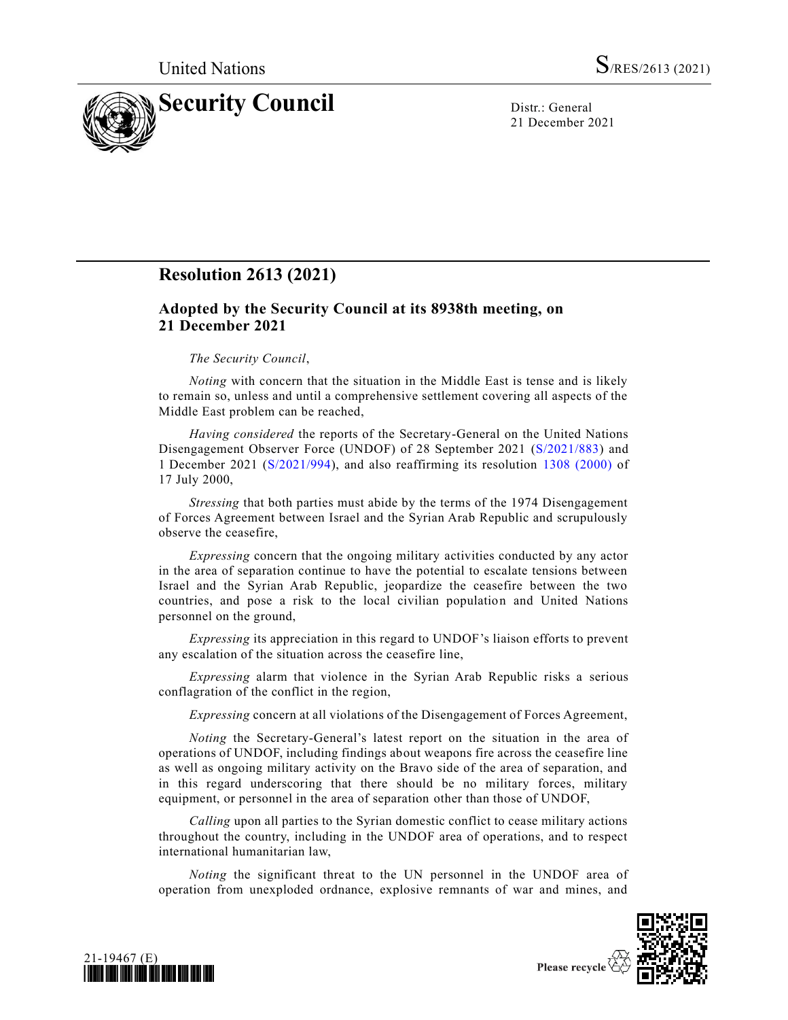

21 December 2021

## **Resolution 2613 (2021)**

## **Adopted by the Security Council at its 8938th meeting, on 21 December 2021**

## *The Security Council*,

*Noting* with concern that the situation in the Middle East is tense and is likely to remain so, unless and until a comprehensive settlement covering all aspects of the Middle East problem can be reached,

*Having considered* the reports of the Secretary-General on the United Nations Disengagement Observer Force (UNDOF) of 28 September 2021 [\(S/2021/883\)](https://undocs.org/en/S/2021/883) and 1 December 2021 [\(S/2021/994\)](https://undocs.org/en/S/2021/994), and also reaffirming its resolution 1308 [\(2000\)](https://undocs.org/en/S/RES/1308(2000)) of 17 July 2000,

*Stressing* that both parties must abide by the terms of the 1974 Disengagement of Forces Agreement between Israel and the Syrian Arab Republic and scrupulously observe the ceasefire,

*Expressing* concern that the ongoing military activities conducted by any actor in the area of separation continue to have the potential to escalate tensions between Israel and the Syrian Arab Republic, jeopardize the ceasefire between the two countries, and pose a risk to the local civilian population and United Nations personnel on the ground,

*Expressing* its appreciation in this regard to UNDOF's liaison efforts to prevent any escalation of the situation across the ceasefire line,

*Expressing* alarm that violence in the Syrian Arab Republic risks a serious conflagration of the conflict in the region,

*Expressing* concern at all violations of the Disengagement of Forces Agreement,

*Noting* the Secretary-General's latest report on the situation in the area of operations of UNDOF, including findings about weapons fire across the ceasefire line as well as ongoing military activity on the Bravo side of the area of separation, and in this regard underscoring that there should be no military forces, military equipment, or personnel in the area of separation other than those of UNDOF,

*Calling* upon all parties to the Syrian domestic conflict to cease military actions throughout the country, including in the UNDOF area of operations, and to respect international humanitarian law,

*Noting* the significant threat to the UN personnel in the UNDOF area of operation from unexploded ordnance, explosive remnants of war and mines, and



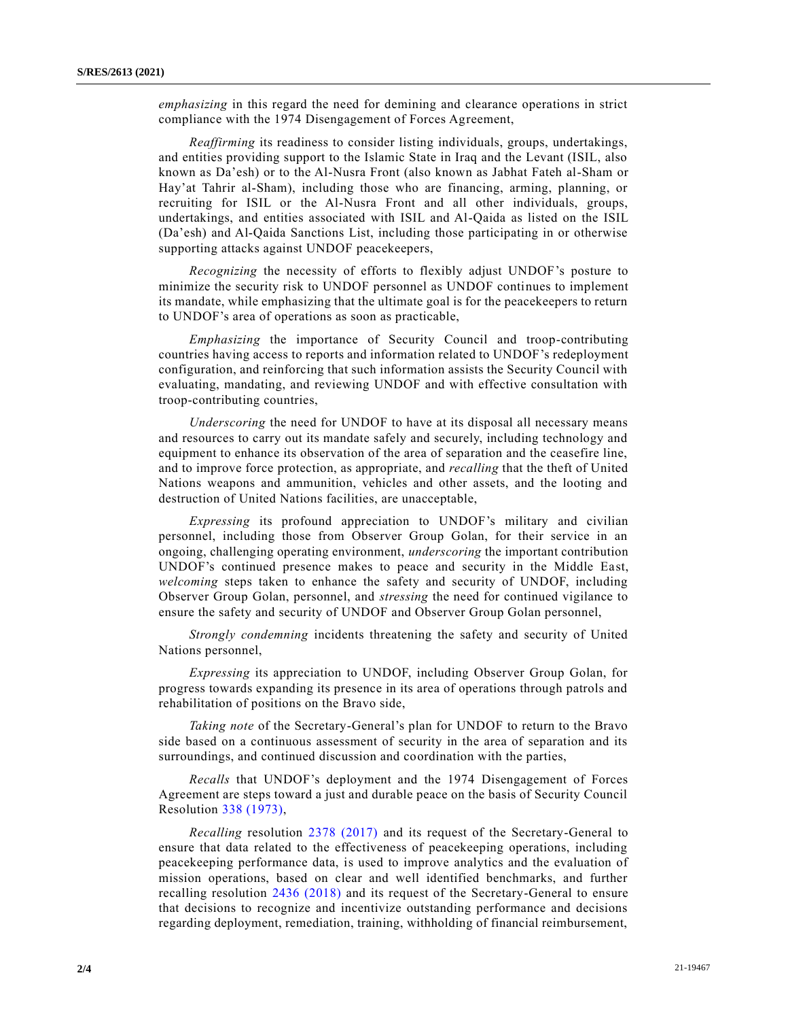*emphasizing* in this regard the need for demining and clearance operations in strict compliance with the 1974 Disengagement of Forces Agreement,

*Reaffirming* its readiness to consider listing individuals, groups, undertakings, and entities providing support to the Islamic State in Iraq and the Levant (ISIL, also known as Da'esh) or to the Al-Nusra Front (also known as Jabhat Fateh al-Sham or Hay'at Tahrir al-Sham), including those who are financing, arming, planning, or recruiting for ISIL or the Al-Nusra Front and all other individuals, groups, undertakings, and entities associated with ISIL and Al-Qaida as listed on the ISIL (Da'esh) and Al-Qaida Sanctions List, including those participating in or otherwise supporting attacks against UNDOF peacekeepers,

*Recognizing* the necessity of efforts to flexibly adjust UNDOF's posture to minimize the security risk to UNDOF personnel as UNDOF continues to implement its mandate, while emphasizing that the ultimate goal is for the peacekeepers to return to UNDOF's area of operations as soon as practicable,

*Emphasizing* the importance of Security Council and troop-contributing countries having access to reports and information related to UNDOF's redeployment configuration, and reinforcing that such information assists the Security Council with evaluating, mandating, and reviewing UNDOF and with effective consultation with troop-contributing countries,

*Underscoring* the need for UNDOF to have at its disposal all necessary means and resources to carry out its mandate safely and securely, including technology and equipment to enhance its observation of the area of separation and the ceasefire line, and to improve force protection, as appropriate, and *recalling* that the theft of United Nations weapons and ammunition, vehicles and other assets, and the looting and destruction of United Nations facilities, are unacceptable,

*Expressing* its profound appreciation to UNDOF's military and civilian personnel, including those from Observer Group Golan, for their service in an ongoing, challenging operating environment, *underscoring* the important contribution UNDOF's continued presence makes to peace and security in the Middle East, *welcoming* steps taken to enhance the safety and security of UNDOF, including Observer Group Golan, personnel, and *stressing* the need for continued vigilance to ensure the safety and security of UNDOF and Observer Group Golan personnel,

*Strongly condemning* incidents threatening the safety and security of United Nations personnel,

*Expressing* its appreciation to UNDOF, including Observer Group Golan, for progress towards expanding its presence in its area of operations through patrols and rehabilitation of positions on the Bravo side,

*Taking note* of the Secretary-General's plan for UNDOF to return to the Bravo side based on a continuous assessment of security in the area of separation and its surroundings, and continued discussion and coordination with the parties,

*Recalls* that UNDOF's deployment and the 1974 Disengagement of Forces Agreement are steps toward a just and durable peace on the basis of Security Council Resolution [338 \(1973\),](https://undocs.org/en/S/RES/338(1973))

*Recalling* resolution [2378 \(2017\)](https://undocs.org/en/S/RES/2378(2017)) and its request of the Secretary-General to ensure that data related to the effectiveness of peacekeeping operations, including peacekeeping performance data, is used to improve analytics and the evaluation of mission operations, based on clear and well identified benchmarks, and further recalling resolution [2436 \(2018\)](https://undocs.org/en/S/RES/2436(2018)) and its request of the Secretary-General to ensure that decisions to recognize and incentivize outstanding performance and decisions regarding deployment, remediation, training, withholding of financial reimbursement,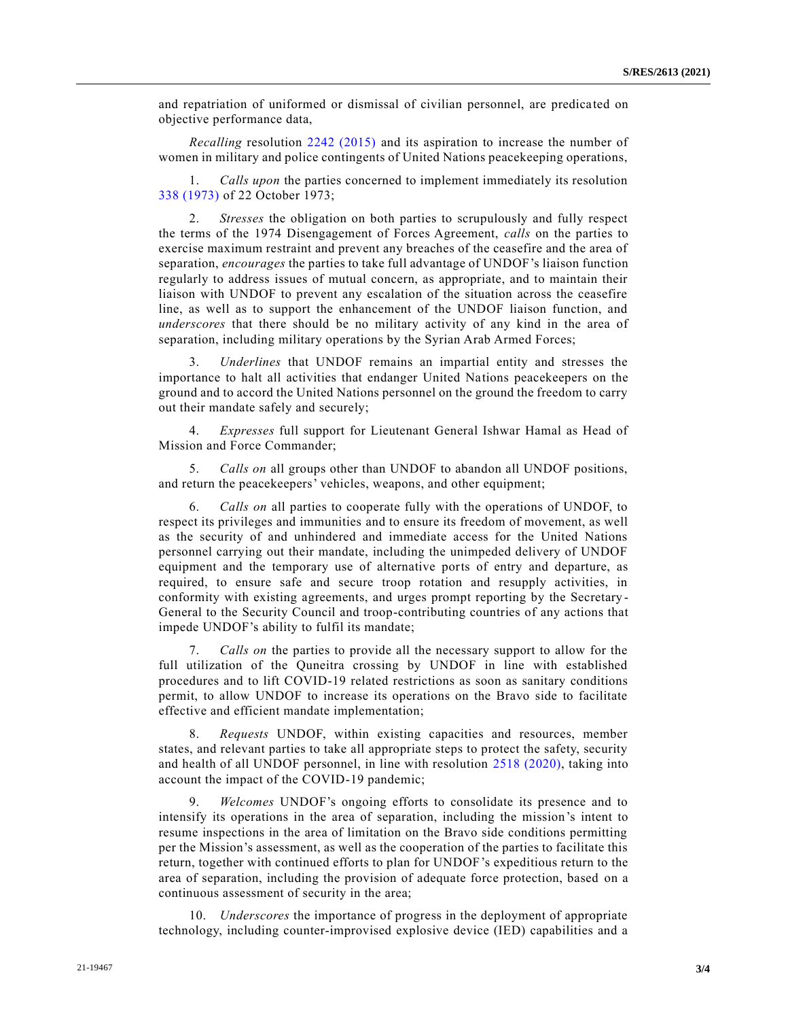and repatriation of uniformed or dismissal of civilian personnel, are predica ted on objective performance data,

*Recalling* resolution [2242 \(2015\)](https://undocs.org/en/S/RES/2242(2015)) and its aspiration to increase the number of women in military and police contingents of United Nations peacekeeping operations,

1. *Calls upon* the parties concerned to implement immediately its resolution [338 \(1973\)](https://undocs.org/en/S/RES/338(1973)) of 22 October 1973;

2. *Stresses* the obligation on both parties to scrupulously and fully respect the terms of the 1974 Disengagement of Forces Agreement, *calls* on the parties to exercise maximum restraint and prevent any breaches of the ceasefire and the area of separation, *encourages* the parties to take full advantage of UNDOF's liaison function regularly to address issues of mutual concern, as appropriate, and to maintain their liaison with UNDOF to prevent any escalation of the situation across the ceasefire line, as well as to support the enhancement of the UNDOF liaison function, and *underscores* that there should be no military activity of any kind in the area of separation, including military operations by the Syrian Arab Armed Forces;

3. *Underlines* that UNDOF remains an impartial entity and stresses the importance to halt all activities that endanger United Nations peacekeepers on the ground and to accord the United Nations personnel on the ground the freedom to carry out their mandate safely and securely;

4. *Expresses* full support for Lieutenant General Ishwar Hamal as Head of Mission and Force Commander;

5. *Calls on* all groups other than UNDOF to abandon all UNDOF positions, and return the peacekeepers' vehicles, weapons, and other equipment;

6. *Calls on* all parties to cooperate fully with the operations of UNDOF, to respect its privileges and immunities and to ensure its freedom of movement, as well as the security of and unhindered and immediate access for the United Nations personnel carrying out their mandate, including the unimpeded delivery of UNDOF equipment and the temporary use of alternative ports of entry and departure, as required, to ensure safe and secure troop rotation and resupply activities, in conformity with existing agreements, and urges prompt reporting by the Secretary - General to the Security Council and troop-contributing countries of any actions that impede UNDOF's ability to fulfil its mandate;

7. *Calls on* the parties to provide all the necessary support to allow for the full utilization of the Quneitra crossing by UNDOF in line with established procedures and to lift COVID-19 related restrictions as soon as sanitary conditions permit, to allow UNDOF to increase its operations on the Bravo side to facilitate effective and efficient mandate implementation;

8. *Requests* UNDOF, within existing capacities and resources, member states, and relevant parties to take all appropriate steps to protect the safety, security and health of all UNDOF personnel, in line with resolution [2518 \(2020\),](https://undocs.org/en/S/RES/2518(2020)) taking into account the impact of the COVID-19 pandemic;

9. *Welcomes* UNDOF's ongoing efforts to consolidate its presence and to intensify its operations in the area of separation, including the mission's intent to resume inspections in the area of limitation on the Bravo side conditions permitting per the Mission's assessment, as well as the cooperation of the parties to facilitate this return, together with continued efforts to plan for UNDOF's expeditious return to the area of separation, including the provision of adequate force protection, based on a continuous assessment of security in the area;

10. *Underscores* the importance of progress in the deployment of appropriate technology, including counter-improvised explosive device (IED) capabilities and a